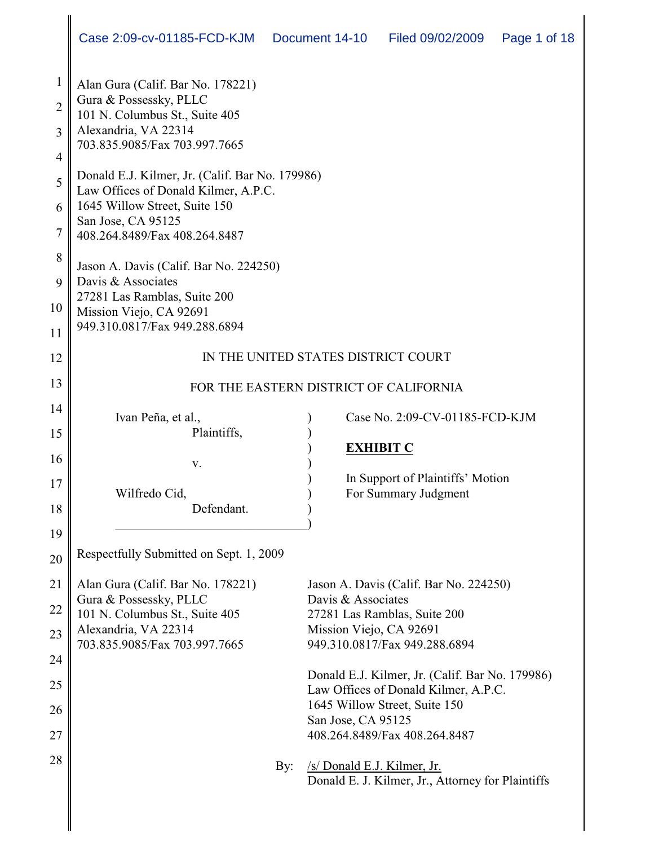| $\mathbf{1}$   | Alan Gura (Calif. Bar No. 178221)                        |                                                     |
|----------------|----------------------------------------------------------|-----------------------------------------------------|
| $\overline{2}$ | Gura & Possessky, PLLC<br>101 N. Columbus St., Suite 405 |                                                     |
| 3              | Alexandria, VA 22314                                     |                                                     |
| $\overline{4}$ | 703.835.9085/Fax 703.997.7665                            |                                                     |
| 5              | Donald E.J. Kilmer, Jr. (Calif. Bar No. 179986)          |                                                     |
|                | Law Offices of Donald Kilmer, A.P.C.                     |                                                     |
| 6              | 1645 Willow Street, Suite 150<br>San Jose, CA 95125      |                                                     |
| $\overline{7}$ | 408.264.8489/Fax 408.264.8487                            |                                                     |
| 8              | Jason A. Davis (Calif. Bar No. 224250)                   |                                                     |
| 9              | Davis & Associates                                       |                                                     |
| 10             | 27281 Las Ramblas, Suite 200<br>Mission Viejo, CA 92691  |                                                     |
| 11             | 949.310.0817/Fax 949.288.6894                            |                                                     |
|                |                                                          |                                                     |
| 12             | IN THE UNITED STATES DISTRICT COURT                      |                                                     |
| 13             | FOR THE EASTERN DISTRICT OF CALIFORNIA                   |                                                     |
| 14             | Ivan Peña, et al.,                                       | Case No. 2:09-CV-01185-FCD-KJM                      |
| 15             | Plaintiffs,                                              |                                                     |
| 16             | V.                                                       | <b>EXHIBIT C</b>                                    |
| 17             |                                                          | In Support of Plaintiffs' Motion                    |
|                | Wilfredo Cid,<br>Defendant.                              | For Summary Judgment                                |
| 18             |                                                          |                                                     |
| 19             |                                                          |                                                     |
| 20             | Respectfully Submitted on Sept. 1, 2009                  |                                                     |
| 21             | Alan Gura (Calif. Bar No. 178221)                        | Jason A. Davis (Calif. Bar No. 224250)              |
| 22             | Gura & Possessky, PLLC<br>101 N. Columbus St., Suite 405 | Davis & Associates<br>27281 Las Ramblas, Suite 200  |
| 23             | Alexandria, VA 22314                                     | Mission Viejo, CA 92691                             |
| 24             | 703.835.9085/Fax 703.997.7665                            | 949.310.0817/Fax 949.288.6894                       |
|                |                                                          | Donald E.J. Kilmer, Jr. (Calif. Bar No. 179986)     |
| 25             |                                                          | Law Offices of Donald Kilmer, A.P.C.                |
| 26             |                                                          | 1645 Willow Street, Suite 150<br>San Jose, CA 95125 |
| 27             |                                                          | 408.264.8489/Fax 408.264.8487                       |
| 28             | By:                                                      | /s/ Donald E.J. Kilmer, Jr.                         |
|                |                                                          | Donald E. J. Kilmer, Jr., Attorney for Plaintiffs   |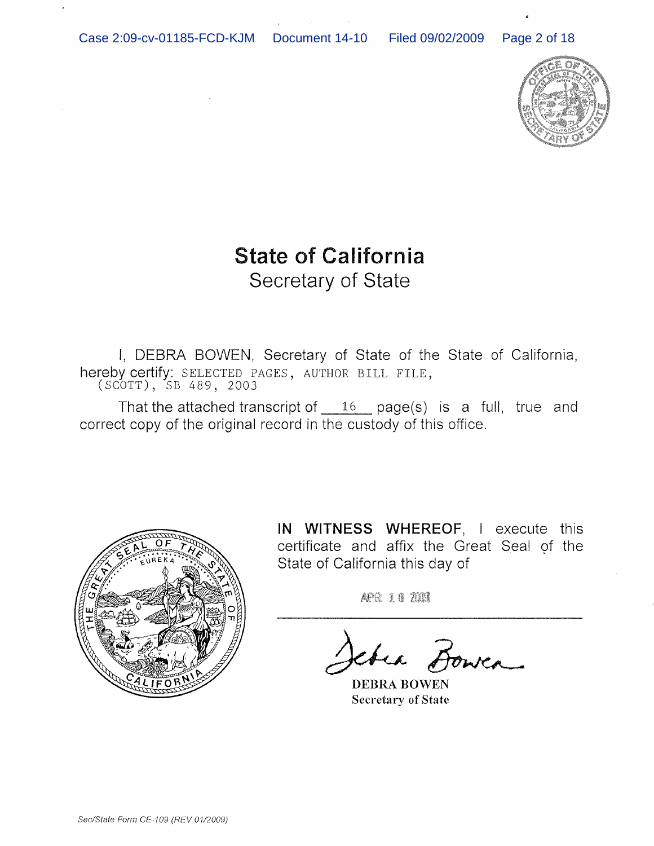Case 2:09-cv-01185-FCD-KJM Document 14-10 Filed 09/02/2009 Page 2 of 18



# **State of California** Secretary of State

I, DEBRA BOWEN, Secretary of State of the State of California, hereby certify: SELECTED PAGES, AUTHOR BILL FILE, (SCOTT), SB 489, 2003

That the attached transcript of  $16$  page(s) is a full, true and correct copy of the original record in the custody of this office.



**IN WITNESS WHEREOF,** I execute this certificate and affix the Great Seal of the State of California this day of

APR 10 2003

chea Bowea

DEBRA BOWEN Secretary of State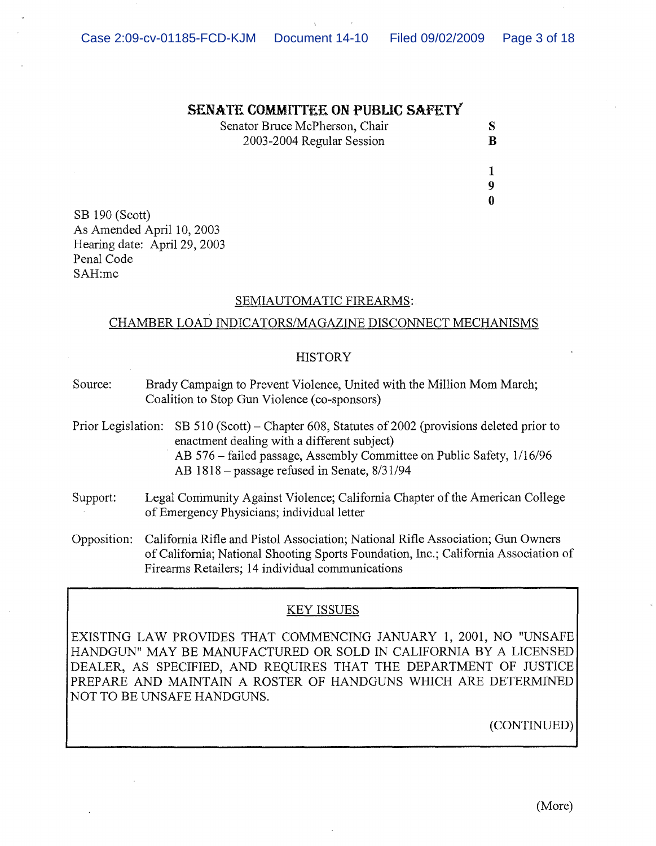### **SENATE COMMlTfEE ON PUBUC SAFETY**

Senator Bruce McPherson, Chair S 2003-2004 Regular Session B

1 9  $\mathbf{0}$ 

SB 190 (Scott) As Amended April 10, 2003 Hearing date: April 29, 2003 Penal Code SAH:mc

## SEMIAUTOMATIC FIREARMS:

# CHAMBER LOAD INDICATORS/MAGAZINE DISCONNECT MECHANISMS

## **HISTORY**

- Source: Brady Campaign to Prevent Violence, United with the Million Mom March; Coalition to Stop Gun Violence (co-sponsors)
- Prior Legislation: SB 510 (Scott) Chapter 608, Statutes of 2002 (provisions deleted prior to enactment dealing with a different subject) AB 576 - failed passage, Assembly Committee on Public Safety, 1/16/96 AB 1818 - passage refused in Senate, 8/31/94
- Support: Legal Community Against Violence; California Chapter of the American College of Emergency Physicians; individual letter
- Opposition: California Rifle and Pistol Association; National Rifle Association; Gun Owners ofCalifornia; National Shooting Sports Foundation, Inc.; California Association of Firearms Retailers; 14 individual communications

# KEY ISSUES

EXISTING LAW PROVIDES THAT COMMENCING JANUARY 1, 2001, NO "UNSAFE HANDGUN" MAY BE MANUFACTURED OR SOLD IN CALIFORNIA BY A LICENSED DEALER, AS SPECIFIED, AND REQUIRES THAT THE DEPARTMENT OF JUSTICE PREPARE AND MAINTAIN A ROSTER OF HANDGUNS WHICH ARE DETERMINED NOT TO BE UNSAFE HANDGUNS.

(CONTINUED)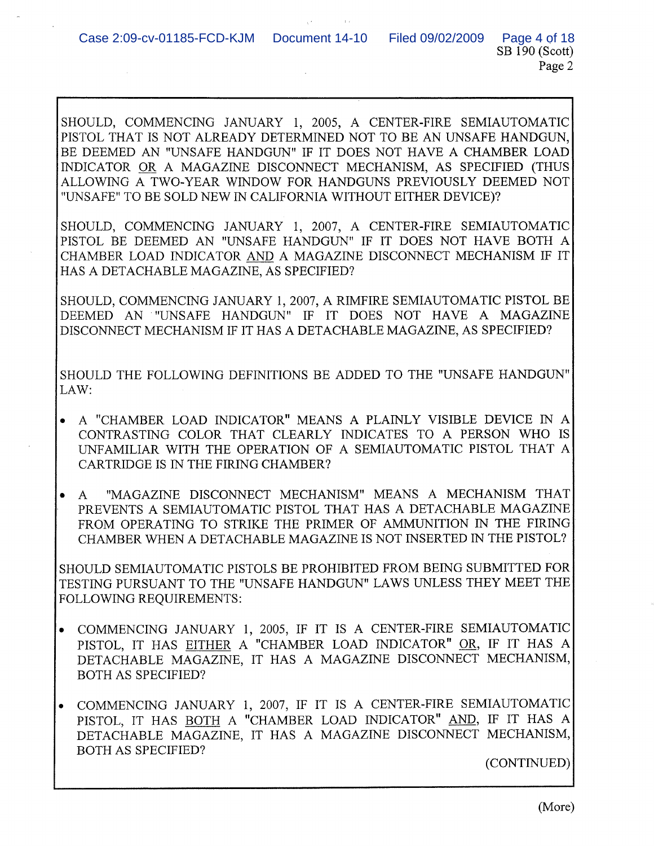SHOULD, COMMENCING JANUARY 1, 2005, A CENTER-FIRE SEMIAUTOMATIC PISTOL THAT IS NOT ALREADY DETERMINED NOT TO BE AN UNSAFE HANDGUN, BE DEEMED AN "UNSAFE HANDGUN" IF IT DOES NOT HAVE A CHAMBER LOAD INDICATOR OR A MAGAZINE DISCONNECT MECHANISM, AS SPECIFIED (THUS ALLOWING A TWO-YEAR WINDOW FOR HANDGUNS PREVIOUSLY DEEMED NOT "UNSAFE" TO BE SOLD NEW IN CALIFORNIA WITHOUT EITHER DEVICE)?

SHOULD, COMMENCING JANUARY 1, 2007, A CENTER-FIRE SEMIAUTOMATIC PISTOL BE DEEMED AN "UNSAFE HANDGUN" IF IT DOES NOT HAVE BOTH A CHAMBER LOAD INDICATOR AND A MAGAZINE DISCONNECT MECHANISM IF IT HAS A DETACHABLE MAGAZINE, AS SPECIFIED?

SHOULD, COMMENCING JANUARY 1,2007, A RIMFIRE SEMIAUTOMATIC PISTOL BE DEEMED AN "UNSAFE HANDGUN" IF IT DOES NOT HAVE A MAGAZINE DISCONNECT MECHANISM IF IT HAS A DETACHABLE MAGAZINE, AS SPECIFIED?

SHOULD THE FOLLOWING DEFINITIONS BE ADDED TO THE "UNSAFE HANDGUN" LAW:

- A "CHAMBER LOAD INDICATOR" MEANS A PLAINLY VISIBLE DEVICE IN A CONTRASTING COLOR THAT CLEARLY INDICATES TO A PERSON WHO IS UNFAMILIAR WITH THE OPERATION OF A SEMIAUTOMATIC PISTOL THAT A CARTRIDGE IS IN THE FIRING CHAMBER?
- A "MAGAZINE DISCONNECT MECHANISM" MEANS A MECHANISM THAT PREVENTS A SEMIAUTOMATIC PISTOL THAT HAS A DETACHABLE MAGAZINE FROM OPERATING TO STRIKE THE PRIMER OF AMMUNITION IN THE FIRING CHAMBER WHEN A DETACHABLE MAGAZINE IS NOT INSERTED IN THE PISTOL?

SHOULD SEMIAUTOMATIC PISTOLS BE PROHIBITED FROM BEING SUBMITTED FOR TESTING PURSUANT TO THE "UNSAFE HANDGUN" LAWS UNLESS THEY MEET THE FOLLOWING REQUIREMENTS:

- COMMENCING JANUARY 1, 2005, IF IT IS A CENTER-FIRE SEMIAUTOMATIC PISTOL, IT HAS EITHER A "CHAMBER LOAD INDICATOR" OR, IF IT HAS A DETACHABLE MAGAZINE, IT HAS A MAGAZINE DISCONNECT MECHANISM, BOTH AS SPECIFIED?
- COMMENCING JANUARY 1, 2007, IF IT IS A CENTER-FIRE SEMIAUTOMATIC PISTOL, IT HAS BOTH A "CHAMBER LOAD INDICATOR" AND, IF IT HAS A DETACHABLE MAGAZINE, IT HAS A MAGAZINE DISCONNECT MECHANISM, BOTH AS SPECIFIED?

(CONTINUED)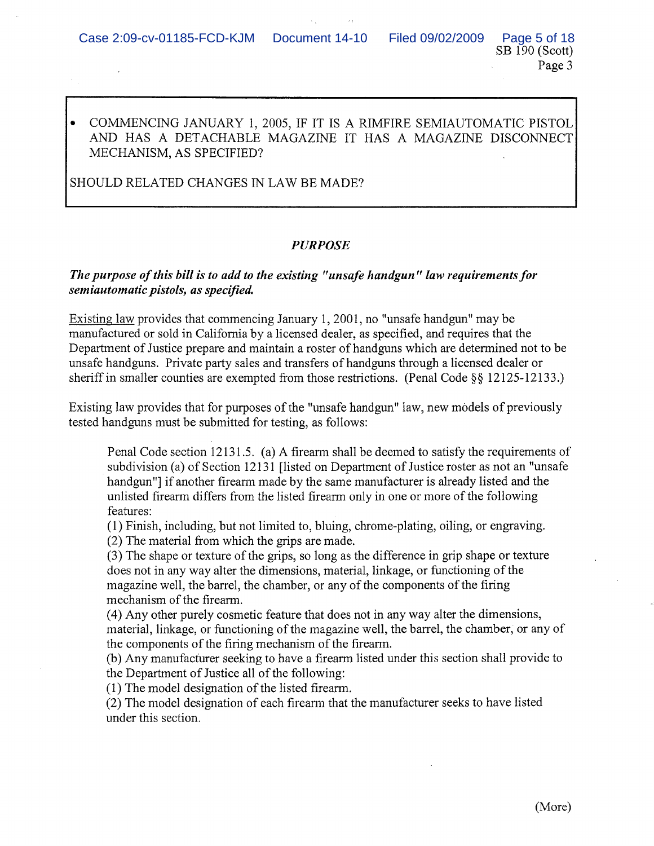# • COMMENCING JANUARY 1, 2005, IF IT IS A RIMFIRE SEMIAUTOMATIC PISTOL AND HAS A DETACHABLE MAGAZINE IT HAS A MAGAZINE DISCONNECT MECHANISM, AS SPECIFIED?

SHOULD RELATED CHANGES IN LAW BE MADE?

# PURPOSE

# *The purpose ofthis bill is to add to the existing "unsafe handgun" law requirementsfor semiautomatic pistols, as specified.*

Existing law provides that commencing January 1, 2001, no "unsafe handgun" may be manufactured or sold in California by a licensed dealer, as specified, and requires that the Department of Justice prepare and maintain a roster of handguns which are determined not to be unsafe handguns. Private party sales and transfers of handguns through a licensed dealer or sheriff in smaller counties are exempted from those restrictions. (Penal Code  $\S$ § 12125-12133.)

Existing law provides that for purposes of the "unsafe handgun" law, new models of previously tested handguns must be submitted for testing, as follows:

Penal Code section 12131.5. (a) A firearm shall be deemed to satisfy the requirements of subdivision (a) of Section 12131 [listed on Department of Justice roster as not an "unsafe" handgun"] if another firearm made by the same manufacturer is already listed and the unlisted firearm differs from the listed firearm only in one or more ofthe following features:

(1) Finish, including, but not limited to, bluing, chrome-plating, oiling, or engraving. (2) The material from which the grips are made.

(3) The shape or texture ofthe grips, so long as the difference in grip shape or texture does not in any way alter the dimensions, material, linkage, or functioning of the magazine well, the barrel, the chamber, or any of the components of the firing mechanism of the firearm.

(4) Any other purely cosmetic feature that does not in any way alter the dimensions, material, linkage, or functioning of the magazine well, the barrel, the chamber, or any of the components of the firing mechanism of the firearm.

(b) Any manufacturer seeking to have a firearm listed under this section shall provide to the Department of Justice all of the following:

 $(1)$  The model designation of the listed firearm.

(2) The model designation of each firearm that the manufacturer seeks to have listed under this section.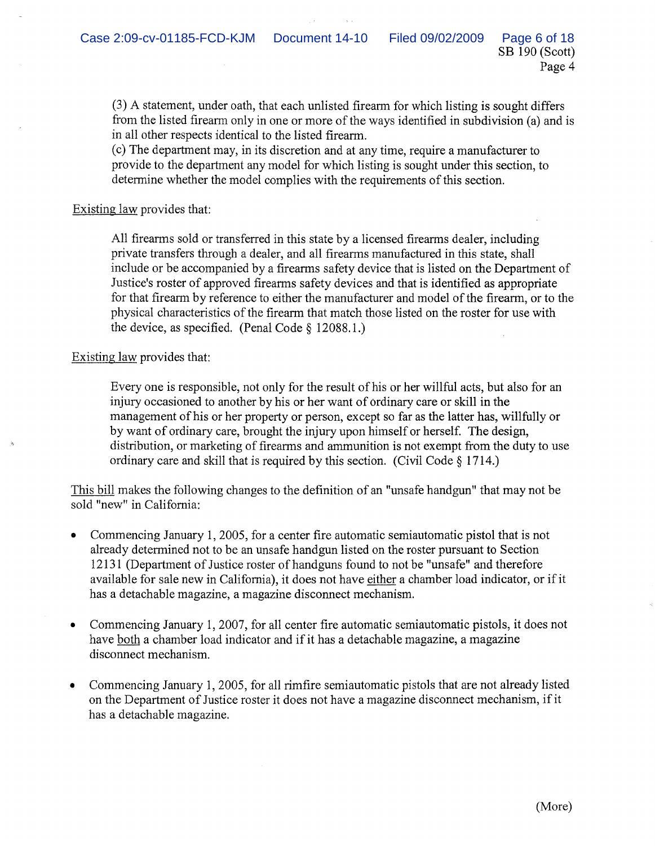(3) A statement, under oath, that each unlisted firearm for which listing is sought differs from the listed firearm only in one or more of the ways identified in subdivision (a) and is in all other respects identical to the listed firearm.

(c) The department may, in its discretion and at any time, require a manufacturer to provide to the department any model for which listing is sought under this section, to determine whether the model complies with the requirements of this section.

## Existing law provides that:

All firearms sold or transferred in this state by a licensed firearms dealer, including private transfers through a dealer, and all firearms manufactured in this state, shall include or be accompanied by a firearms safety device that is listed on the Department of Justice's roster of approved firearms safety devices and that is identified as appropriate for that firearm by reference to either the manufacturer and model of the firearm, or to the physical characteristics of the firearm that match those listed on the roster for use with the device, as specified. (Penal Code § 12088.1.)

## Existing law provides that:

Every one is responsible, not only for the result of his or her will ful acts, but also for an injury occasioned to another by his or her want of ordinary care or skill in the management of his or her property or person, except so far as the latter has, willfully or by want of ordinary care, brought the injury upon himself or herself. The design, distribution, or marketing of firearms and ammunition is not exempt from the duty to use ordinary care and skill that is required by this section. (Civil Code § 1714.)

This bill makes the following changes to the definition of an "unsafe handgun" that may not be sold "new" in California:

- Commencing January 1,2005, for a center fire automatic semiautomatic pistol that is not already determined not to be an unsafe handgun listed on the roster pursuant to Section 12131 (Department of Justice roster of handguns found to not be "unsafe" and therefore available for sale new in California), it does not have either a chamber load indicator, or ifit has a detachable magazine, a magazine disconnect mechanism.
- Commencing January 1, 2007, for all center fire automatic semiautomatic pistols, it does not have both a chamber load indicator and if it has a detachable magazine, a magazine disconnect mechanism.
- Commencing January 1,2005, for all rimfire semiautomatic pistols that are not already listed on the Department of Justice roster it does not have a magazine disconnect mechanism, if it has a detachable magazine.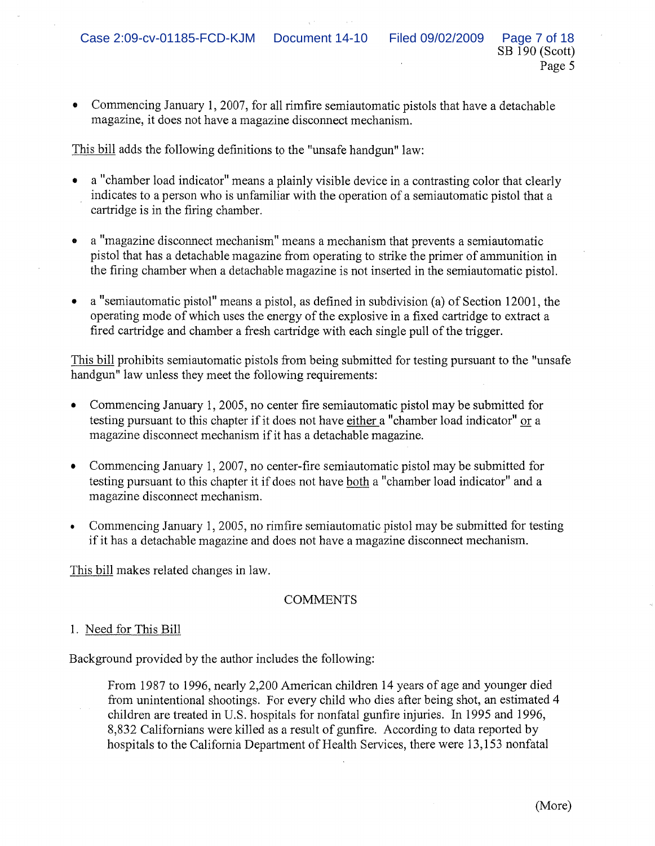• Commencing January **1,** 2007, for all rimfire semiautomatic pistols that have a detachable magazine, it does not have a magazine disconnect mechanism.

This bill adds the following definitions to the "unsafe handgun" law:

- a "chamber load indicator" means a plainly visible device in a contrasting color that clearly indicates to a person who is unfamiliar with the operation of a semiautomatic pistol that a cartridge is in the firing chamber.
- a "magazine disconnect mechanism" means a mechanism that prevents a semiautomatic pistol that has a detachable magazine from operating to strike the primer of ammunition in the firing chamber when a detachable magazine is not inserted in the semiautomatic pistol.
- a "semiautomatic pistol" means a pistol, as defined in subdivision (a) of Section 12001, the operating mode of which uses the energy of the explosive in a fixed cartridge to extract a fired cartridge and chamber a fresh cartridge with each single pull of the trigger.

This bill prohibits semiautomatic pistols from being submitted for testing pursuant to the "unsafe handgun" law unless they meet the following requirements:

- Commencing January 1,2005, no center fire semiautomatic pistol may be submitted for testing pursuant to this chapter if it does not have either a "chamber load indicator" or a magazine disconnect mechanism if it has a detachable magazine.
- Commencing January 1, 2007, no center-fire semiautomatic pistol may be submitted for testing pursuant to this chapter it if does not have both a "chamber load indicator" and a magazine disconnect mechanism.
- Commencing January 1,2005, no rimfire semiautomatic pistol may be submitted for testing if it has a detachable magazine and does not have a magazine disconnect mechanism.

This bill makes related changes in law.

# **COMMENTS**

# 1. Need for This Bill

Background provided by the author includes the following:

From 1987 to 1996, nearly 2,200 American children 14 years of age and younger died from unintentional shootings. For every child who dies after being shot, an estimated 4 children are treated in U.S. hospitals for nonfatal gunfire injuries. In 1995 and 1996, 8,832 Californians were killed as a result of gunfire. According to data reported by hospitals to the California Department of Health Services, there were 13,153 nonfatal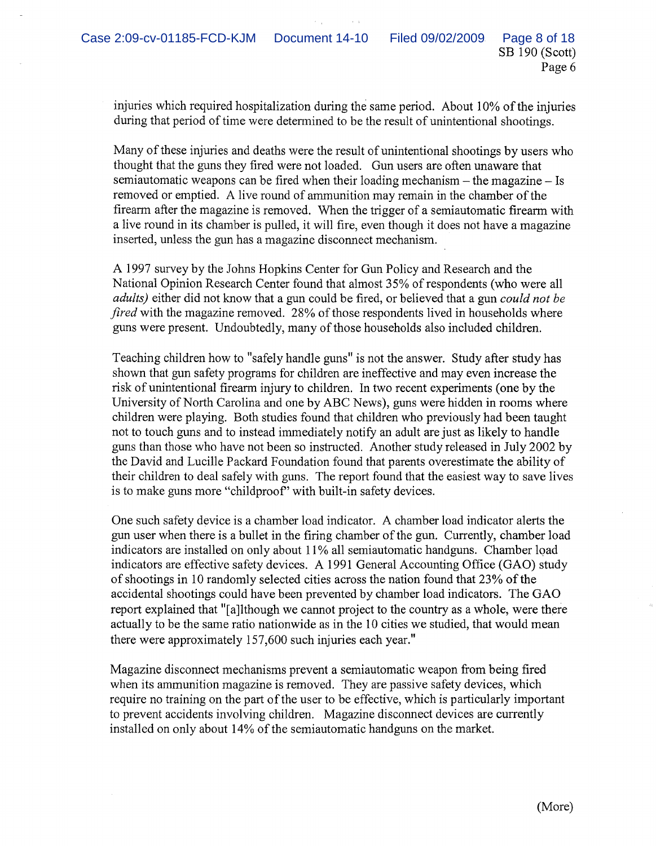injuries which required hospitalization during the same period. About 10% of the injuries during that period of time were determined to be the result of unintentional shootings.

Many of these injuries and deaths were the result of unintentional shootings by users who thought that the guns they fired were not loaded. Gun users are often unaware that semiautomatic weapons can be fired when their loading mechanism - the magazine - Is removed or emptied. A live round of ammunition may remain in the chamber of the firearm after the magazine is removed. When the trigger of a semiautomatic firearm with a live round in its chamber is pulled, it will fire, even though it does not have a magazine inserted, unless the gun has a magazine disconnect mechanism.

A 1997 survey by the Johns Hopkins Center for Gun Policy and Research and the National Opinion Research Center found that almost 35% of respondents (who were all *adults)* either did not know that a gun could be fired, or believed that a gun *could not be fired* with the magazine removed. 28% of those respondents lived in households where guns were present. Undoubtedly, many ofthose households also included children.

Teaching children how to "safely handle guns" is not the answer. Study after study has shown that gun safety programs for children are ineffective and may even increase the risk of unintentional firearm injury to children. In two recent experiments (one by the University of North Carolina and one by ABC News), guns were hidden in rooms where children were playing. Both studies found that children who previously had been taught not to touch guns and to instead immediately notify an adult are just as likely to handle guns than those who have not been so instructed. Another study released in July 2002 by the David and Lucille Packard Foundation found that parents overestimate the ability of their children to deal safely with guns. The report found that the easiest way to save lives is to make guns more "childproof' with built-in safety devices.

One such safety device is a chamber load indicator. A chamber load indicator alerts the gun user when there is a bullet in the firing chamber ofthe gun. Currently, chamber load indicators are installed on only about 11 % all semiautomatic handguns. Chamber load indicators are effective safety devices. A 1991 General Accounting Office (GAO) study of shootings in 10 randomly selected cities across the nation found that 23% of the accidental shootings could have been prevented by chamber load indicators. The GAO report explained that "[a]lthough we cannot project to the country as a whole, were there actually to be the same ratio nationwide as in the 10 cities we studied, that would mean there were approximately 157,600 such injuries each year."

Magazine disconnect mechanisms prevent a semiautomatic weapon from being fired when its ammunition magazine is removed. They are passive safety devices, which require no training on the part of the user to be effective, which is particularly important to prevent accidents involving children. Magazine disconnect devices are currently installed on only about 14% of the semiautomatic handguns on the market.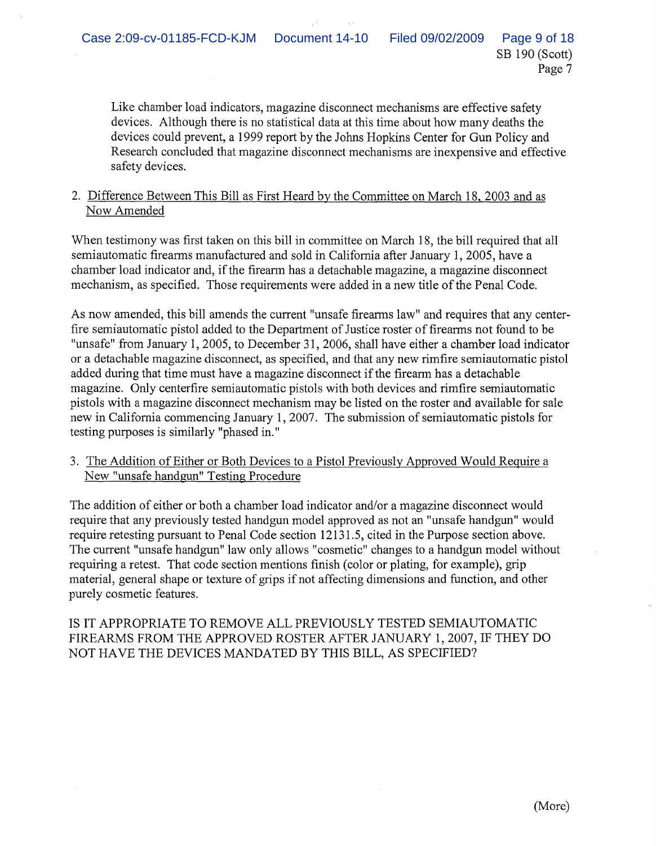Like chamber load indicators, magazine disconnect mechanisms are effective safety devices. Although there is no statistical data at this time about how many deaths the devices could prevent, a 1999 report by the Johns Hopkins Center for Gun Policy and Research concluded that magazine disconnect mechanisms are inexpensive and effective safety devices.

# 2. Difference Between This Bill as First Heard by the Committee on March 18, 2003 and as Now Amended

When testimony was first taken on this bill in committee on March 18, the bill required that all semiautomatic firearms manufactured and sold in California after January 1,2005, have a chamber load indicator and, ifthe firearm has a detachable magazine, a magazine disconnect mechanism, as specified. Those requirements were added in a new title of the Penal Code.

As now amended, this bill amends the current "unsafe firearms law" and requires that any centerfire semiautomatic pistol added to the Department of Justice roster of firearms not found to be "unsafe" from January 1, 2005, to December 31, 2006, shall have either a chamber load indicator or a detachable magazine disconnect, as specified, and that any new rimfire semiautomatic pistol added during that time must have a magazine disconnect if the firearm has a detachable magazine. Only centerfire semiautomatic pistols with both devices and rimfire semiautomatic pistols with a magazine disconnect mechanism may be listed on the roster and available for sale new in California commencing January 1, 2007. The submission of semiautomatic pistols for testing purposes is similarly "phased in."

3. The Addition of Either or Both Devices to a Pistol Previously Approved Would Require a New "unsafe handgun" Testing Procedure

The addition of either or both a chamber load indicator and/or a magazine disconnect would require that any previously tested handgun model approved as not an "unsafe handgun" would require retesting pursuant to Penal Code section 12131.5, cited in the Purpose section above. The current "unsafe handgun" law only allows "cosmetic" changes to a handgun model without requiring a retest. That code section mentions finish (color or plating, for example), grip material, general shape or texture of grips if not affecting dimensions and function, and other purely cosmetic features.

IS IT APPROPRIATE TO REMOVE ALL PREVIOUSLY TESTED SEMIAUTOMATIC FIREARMS FROM THE APPROVED ROSTER AFTER JANUARY 1,2007, IF THEY DO NOT HAVE THE DEVICES MANDATED BY THIS BILL, AS SPECIFIED?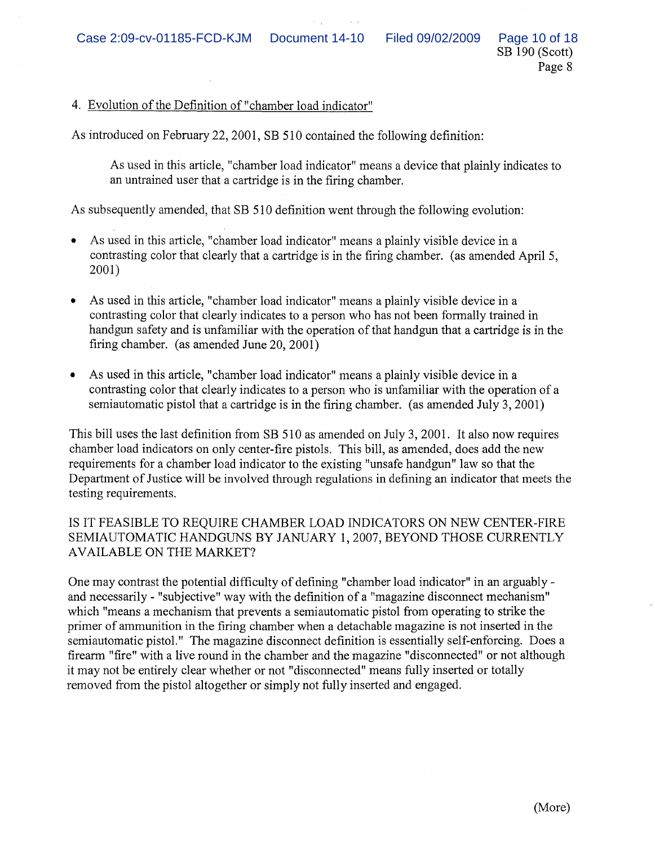# 4. Evolution of the Definition of "chamber load indicator"

As introduced on February 22,2001, SB 510 contained the following definition:

As used in this article, "chamber load indicator" means a device that plainly indicates to an untrained user that a cartridge is in the firing chamber.

As subsequently amended, that SB 510 definition went through the following evolution:

- As used in this article, "chamber load indicator" means a plainly visible device in a contrasting color that clearly that a cartridge is in the firing chamber. (as amended April 5, 2001)
- As used in this article, "chamber load indicator" means a plainly visible device in a contrasting color that clearly indicates to a person who has not been formally trained in handgun safety and is unfamiliar with the operation of that handgun that a cartridge is in the firing chamber. (as amended June 20,2001)
- As used in this article, "chamber load indicator" means a plainly visible device in a contrasting color that clearly indicates to a person who is unfamiliar with the operation of a semiautomatic pistol that a cartridge is in the firing chamber. (as amended July 3,2001)

This bill uses the last definition from SB 510 as amended on July 3,2001. It also now requires chamber load indicators on only center-fire pistols. This bill, as amended, does add the new requirements for a chamber load indicator to the existing "unsafe handgun" law so that the Department of Justice will be involved through regulations in defining an indicator that meets the testing requirements.

# IS IT FEASIBLE TO REQUIRE CHAMBER LOAD INDICATORS ON NEW CENTER-FIRE SEMIAUTOMATIC HANDGUNS BY JANUARY 1,2007, BEYOND THOSE CURRENTLY AVAILABLE ON THE MARKET?

One may contrast the potential difficulty of defining "chamber load indicator" in an arguablyand necessarily - "subjective" way with the definition of a "magazine disconnect mechanism" which "means a mechanism that prevents a semiautomatic pistol from operating to strike the primer of ammunition in the firing chamber when a detachable magazine is not inserted in the semiautomatic pistol." The magazine disconnect definition is essentially self-enforcing. Does a firearm "fire" with a live round in the chamber and the magazine "disconnected" or not although it may not be entirely clear whether or not "disconnected" means fully inserted or totally removed from the pistol altogether or simply not fully inserted and engaged.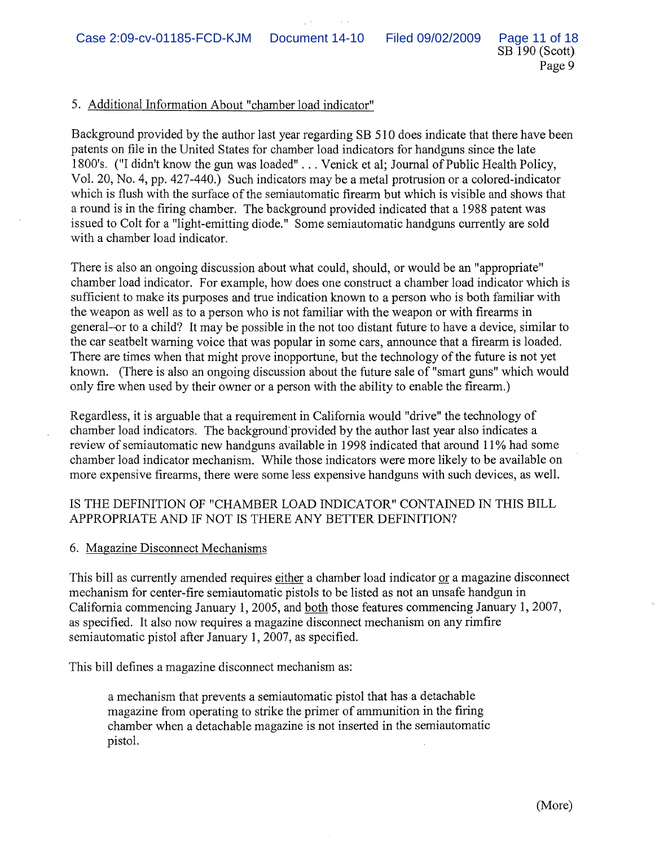SB 190 (Scott) Page 9

## 5. Additional Information About "chamber load indicator"

Background provided by the author last year regarding SB 510 does indicate that there have been patents on file in the United States for chamber load indicators for handguns since the late 1800's. ("I didn't know the gun was loaded" ... Venick et al; Journal of Public Health Policy, Vol. 20, No.4, pp. 427-440.) Such indicators may be a metal protrusion or a colored-indicator which is flush with the surface of the semiautomatic firearm but which is visible and shows that a round is in the firing chamber. The background provided indicated that a 1988 patent was issued to Colt for a "light-emitting diode." Some semiautomatic handguns currently are sold with a chamber load indicator.

There is also an ongoing discussion about what could, should, or would be an "appropriate" chamber load indicator. For example, how does one construct a chamber load indicator which is sufficient to make its purposes and true indication known to a person who is both familiar with the weapon as well as to a person who is not familiar with the weapon or with firearms in general-or to a child? It may be possible in the not too distant future to have a device, similar to the car seatbelt warning voice that was popular in some cars, announce that a firearm is loaded. There are times when that might prove inopportune, but the technology of the future is not yet known. (There is also an ongoing discussion about the future sale of "smart guns" which would only fire when used by their owner or a person with the ability to enable the firearm.)

Regardless, it is arguable that a requirement in California would "drive" the technology of chamber load indicators. The background'provided by the author last year also indicates a review of semiautomatic new handguns available in 1998 indicated that around 11% had some chamber load indicator mechanism. While those indicators were more likely to be available on more expensive firearms, there were some less expensive handguns with such devices, as well.

# IS THE DEFINITION OF "CHAMBER LOAD INDICATOR" CONTAINED IN THIS BILL APPROPRIATE AND IF NOT IS THERE ANY BETTER DEFINITION?

#### 6. Magazine Disconnect Mechanisms

This bill as currently amended requires either a chamber load indicator or a magazine disconnect mechanism for center-fire semiautomatic pistols to be listed as not an unsafe handgun in California commencing January 1,2005, and both those features commencing January 1, 2007, as specified. It also now requires a magazine disconnect mechanism on any rimfire semiautomatic pistol after January 1, 2007, as specified.

This bill defines a magazine disconnect mechanism as:

a mechanism that prevents a semiautomatic pistol that has a detachable magazine from operating to strike the primer of ammunition in the firing chamber when a detachable magazine is not inserted in the semiautomatic pistol.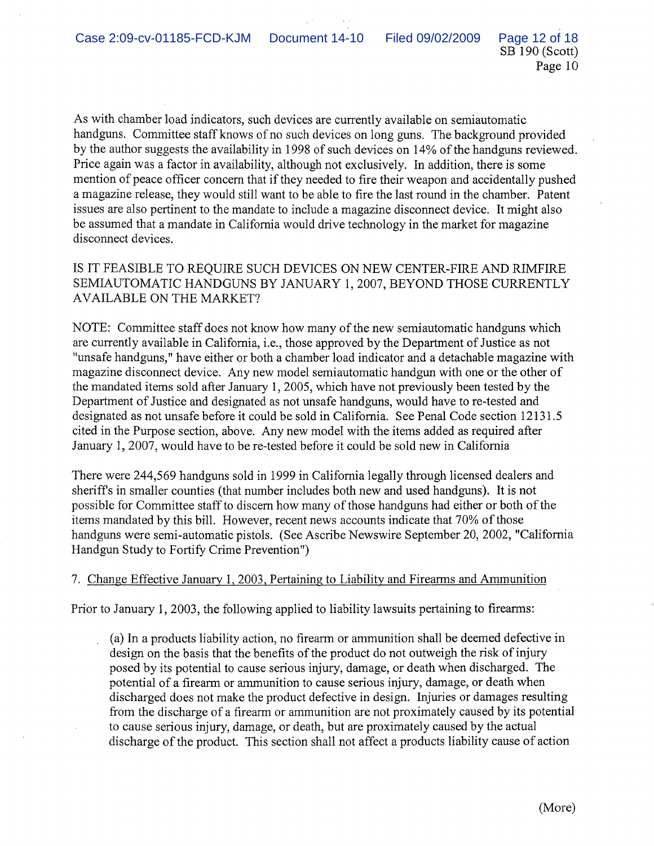SB 190 (Scott) Page 10

As with chamber load indicators, such devices are currently available on semiautomatic handguns. Committee staff knows of no such devices on long guns. The background provided by the author suggests the availability in 1998 of such devices on 14% of the handguns reviewed. Price again was a factor in availability, although not exclusively. In addition, there is some mention of peace officer concern that if they needed to fire their weapon and accidentally pushed a magazine release, they would still want to be able to fire the last round in the chamber. Patent issues are also pertinent to the mandate to include a magazine disconnect device. It might also be assumed that a mandate in California would drive technology in the market for magazine disconnect devices.

IS IT FEASIBLE TO REQUIRE SUCH DEVICES ON NEW CENTER-FIRE AND RIMFIRE SEMIAUTOMATIC HANDGUNS BY JANUARY 1,2007, BEYOND THOSE CURRENTLY AVAILABLE ON THE MARKET?

NOTE: Committee staff does not know how many of the new semiautomatic handguns which are currently available in California, i.e., those approved by the Department of Justice as not "unsafe handguns," have either or both a chamber load indicator and a detachable magazine with magazine disconnect device. Any new model semiautomatic handgun with one or the other of the mandated items sold after January 1,2005, which have not previously been tested by the Department of Justice and designated as not unsafe handguns, would have to re-tested and designated as not unsafe before it could be sold in California. See Penal Code section 12131.5 cited in the Purpose section, above. Any new model with the items added as required after January 1, 2007, would have to be re-tested before it could be sold new in California

There were 244,569 handguns sold in 1999 in California legally through licensed dealers and sheriffs in smaller counties (that number includes both new and used handguns). It is not possible for Committee staff to discern how many of those handguns had either or both of the items mandated by this bill. However, recent news accounts indicate that 70% of those handguns were semi-automatic pistols. (See Ascribe Newswire September 20, 2002, "California Handgun Study to Fortify Crime Prevention")

# 7. Change Effective January 1, 2003, Pertaining to Liability and Firearms and Ammunition

Prior to January 1,2003, the following applied to liability lawsuits pertaining to firearms:

(a) In a products liability action, no firearm or ammunition shall be deemed defective in design on the basis that the benefits of the product do not outweigh the risk of injury posed by its potential to cause serious injury, damage, or death when discharged. The potential of a firearm or ammunition to cause serious injury, damage, or death when discharged does not make the product defective in design. Injuries or damages resulting from the discharge of a firearm or ammunition are not proximately caused by its potential to cause serious injury, damage, or death, but are proximately caused by the actual discharge of the product. This section shall not affect a products liability cause of action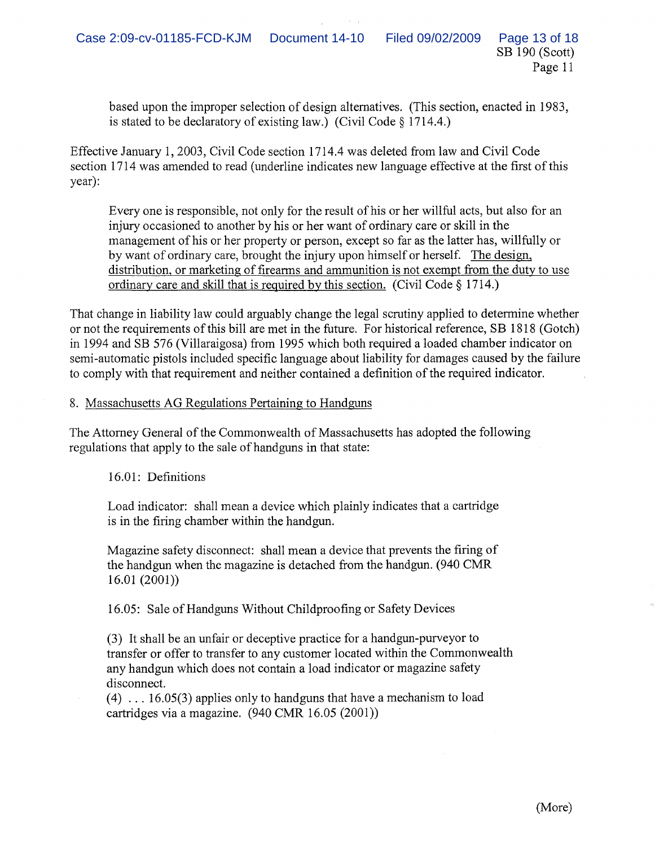based upon the improper selection of design alternatives. (This section, enacted in 1983, is stated to be declaratory of existing law.) (Civil Code § 1714.4.)

Effective January 1,2003, Civil Code section 1714.4 was deleted from law and Civil Code section 1714 was amended to read (underline indicates new language effective at the first of this year):

Everyone is responsible, not only for the result of his or her willful acts, but also for an injury occasioned to another by his or her want of ordinary care or skill in the management of his or her property or person, except so far as the latter has, willfully or by want of ordinary care, brought the injury upon himself or herself. The design, distribution, or marketing of firearms and ammunition is not exempt from the duty to use ordinary care and skill that is required by this section. (Civil Code § 1714.)

That change in liability law could arguably change the legal scrutiny applied to determine whether or not the requirements ofthis bill are met in the future. For historical reference, SB 1818 (Gotch) in 1994 and SB 576 (Villaraigosa) from 1995 which both required a loaded chamber indicator on semi-automatic pistols included specific language about liability for damages caused by the failure to comply with that requirement and neither contained a definition ofthe required indicator.

# 8. Massachusetts AG Regulations Pertaining to Handguns

The Attorney General of the Commonwealth of Massachusetts has adopted the following regulations that apply to the sale of handguns in that state:

16.01: Definitions

Load indicator: shall mean a device which plainly indicates that a cartridge is in the firing chamber within the handgun.

Magazine safety disconnect: shall mean a device that prevents the firing of the handgun when the magazine is detached from the handgun. (940 CMR  $16.01(2001)$ 

16.05: Sale of Handguns Without Childproofing or Safety Devices

(3) It shall be an unfair or deceptive practice for a handgun-purveyor to transfer or offer to transfer to any customer located within the Commonwealth any handgun which does not contain a load indicator or magazine safety disconnect.

 $(4)$  ... 16.05(3) applies only to handguns that have a mechanism to load cartridges via a magazine. (940 CMR 16.05 (2001))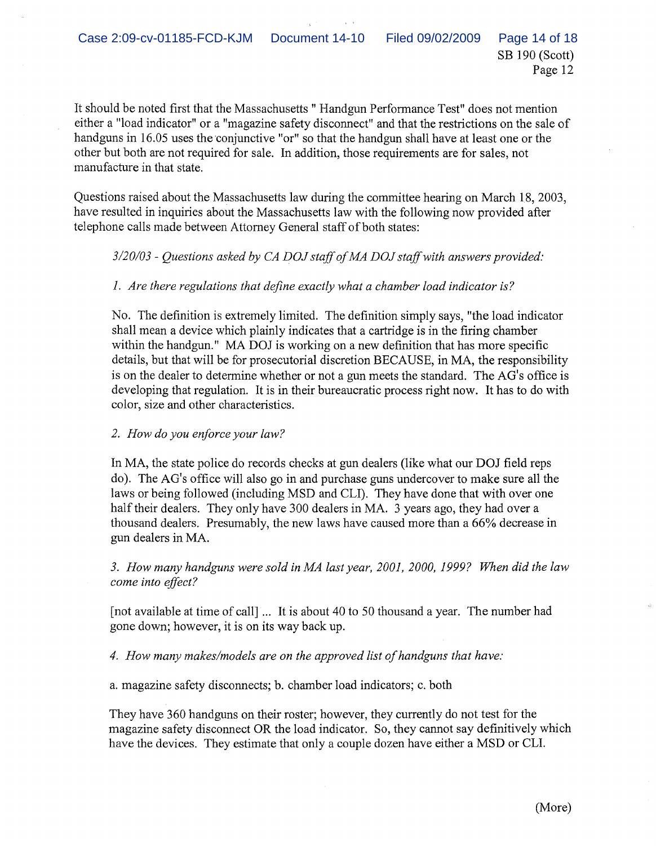It should be noted first that the Massachusetts " Handgun Performance Test" does not mention either a "load indicator" or a "magazine safety disconnect" and that the restrictions on the sale of handguns in 16.05 uses the conjunctive "or" so that the handgun shall have at least one or the other but both are not required for sale. In addition, those requirements are for sales, not manufacture in that state.

Questions raised about the Massachusetts law during the committee hearing on March 18, 2003, have resulted in inquiries about the Massachusetts law with the following now provided after telephone calls made between Attorney General staff of both states:

## *3/20/03* - *Questions asked by CA DOJ staffofMA DOJ staffwith answers provided:*

## *1. Are there regulations that define exactly what a chamber load indicator is?*

No. The definition is extremely limited. The definition simply says, "the load indicator shall mean a device which plainly indicates that a cartridge is in the firing chamber within the handgun." MA DOJ is working on a new definition that has more specific details, but that will be for prosecutorial discretion BECAUSE, in MA, the responsibility is on the dealer to determine whether or not a gun meets the standard. The AG's office is developing that regulation. It is in their bureaucratic process right now. It has to do with color, size and other characteristics.

#### *2. How do you enforce your law?*

In MA, the state police do records checks at gun dealers (like what our DOJ field reps do). The AG's office will also go in and purchase guns undercover to make sure all the laws or being followed (including MSD and CLI). They have done that with over one half their dealers. They only have 300 dealers in MA. 3 years ago, they had over a thousand dealers. Presumably, the new laws have caused more than a 66% decrease in gun dealers in MA.

*3. How many handguns were sold in MA last year, 2001, 2000,* 1999? *When did the law come into effect?*

[not available at time of call] ... It is about 40 to 50 thousand a year. The number had gone down; however, it is on its way back up.

*4. How many makes/models are on the approved list ofhandguns that have:*

a. magazine safety disconnects; b. chamber load indicators; c. both

They have 360 handguns on their roster; however, they currently do not test for the magazine safety disconnect OR the load indicator. So, they cannot say definitively which have the devices. They estimate that only a couple dozen have either a MSD or CLI.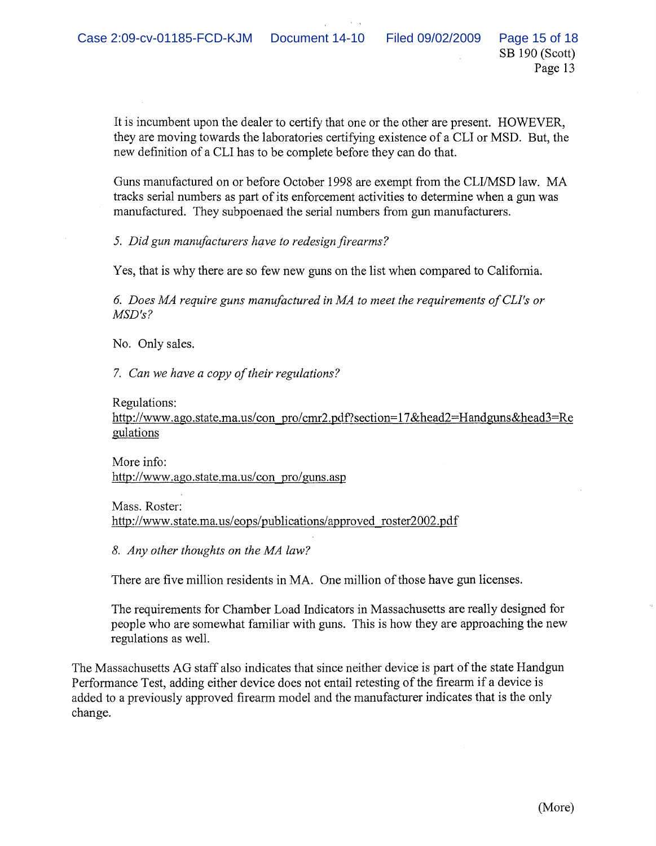It is incumbent upon the dealer to certify that one or the other are present. HOWEVER, they are moving towards the laboratories certifying existence of a CLI or MSD. But, the new definition of a CLI has to be complete before they can do that.

Guns manufactured on or before October 1998 are exempt from the CLI/MSD law. MA tracks serial numbers as part of its enforcement activities to determine when a gun was manufactured. They subpoenaed the serial numbers from gun manufacturers.

*5. Did gun manufacturers have to redesignfirearms?*

Yes, that is why there are so few new guns on the list when compared to California.

*6. Does MA require guns manufactured in MA to meet the requirements ofCLl's or MSD's?*

No. Only sales.

*7. Can we have a copy of their regulations?* 

#### Regulations:

http://www.ago.state.ma.us/con pro/cmr2.pdf?section=17&head2=Handguns&head3=Re gulations

More info: http://www.ago.state.ma.us/con pro/guns.asp

Mass. Roster: http://www.state.ma.us/eops/publications/approved roster2002.pdf

*8. Any other thoughts on the MA law?*

There are five million residents in MA. One million of those have gun licenses.

The requirements for Chamber Load Indicators in Massachusetts are really designed for people who are somewhat familiar with guns. This is how they are approaching the new regulations as well.

The Massachusetts AG staff also indicates that since neither device is part of the state Handgun Performance Test, adding either device does not entail retesting of the firearm if a device is added to a previously approved firearm model and the manufacturer indicates that is the only change.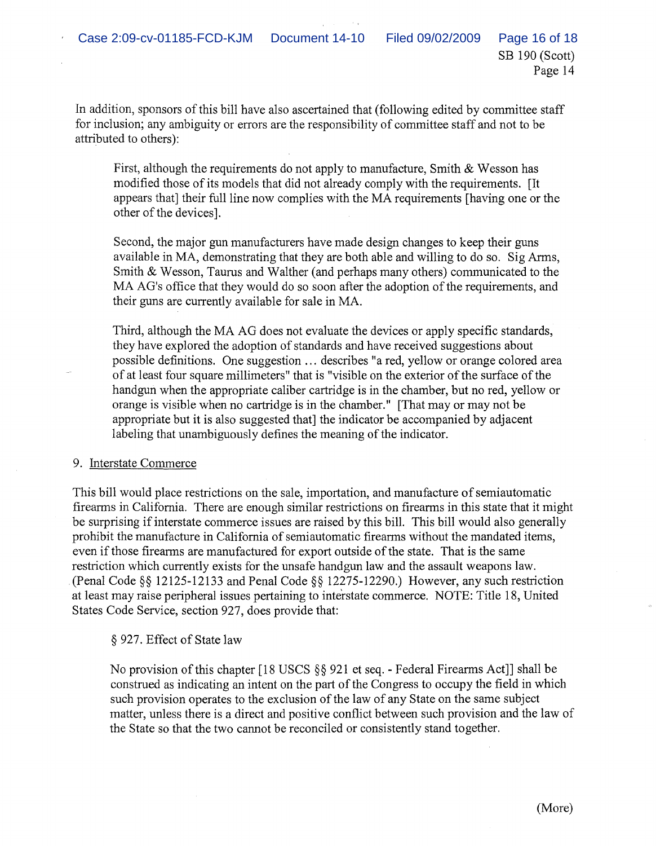SB 190 (Scott) Page 14

In addition, sponsors of this bill have also ascertained that (following edited by committee staff for inclusion; any ambiguity or errors are the responsibility of committee staff and not to be attributed to others):

First, although the requirements do not apply to manufacture, Smith & Wesson has modified those of its models that did not already comply with the requirements. [It appears that] their full line now complies with the MA requirements [having one or the other of the devices].

Second, the major gun manufacturers have made design changes to keep their guns available in MA, demonstrating that they are both able and willing to do so. Sig Arms, Smith & Wesson, Taurus and Walther (and perhaps many others) communicated to the MA AG's office that they would do so soon after the adoption of the requirements, and their guns are currently available for sale in MA.

Third, although the MA AG does not evaluate the devices or apply specific standards, they have explored the adoption of standards and have received suggestions about possible definitions. One suggestion ... describes "a red, yellow or orange colored area of at least four square millimeters" that is "visible on the exterior of the surface of the handgun when the appropriate caliber cartridge is in the chamber, but no red, yellow or orange is visible when no cartridge is in the chamber." [That mayor may not be appropriate but it is also suggested that] the indicator be accompanied by adjacent labeling that unambiguously defines the meaning of the indicator.

#### 9. Interstate Commerce

This bill would place restrictions on the sale, importation, and manufacture of semiautomatic firearms in California. There are enough similar restrictions on firearms in this state that it might be surprising if interstate commerce issues are raised by this bill. This bill would also generally prohibit the manufacture in California of semiautomatic firearms without the mandated items, even ifthose firearms are manufactured for export outside ofthe state. That is the same restriction which currently exists for the unsafe handgun law and the assault weapons law. (Penal Code §§ 12125-12133 and Penal Code §§ 12275-12290.) However, any such restriction at least may raise peripheral issues pertaining to interstate commerce. NOTE: Title 18, United States Code Service, section 927, does provide that:

# § 927. Effect of State law

No provision of this chapter [18 USCS §§ 921 et seq. - Federal Firearms Act]] shall be construed as indicating an intent on the part of the Congress to occupy the field in which such provision operates to the exclusion of the law of any State on the same subject matter, unless there is a direct and positive conflict between such provision and the law of the State so that the two cannot be reconciled or consistently stand together.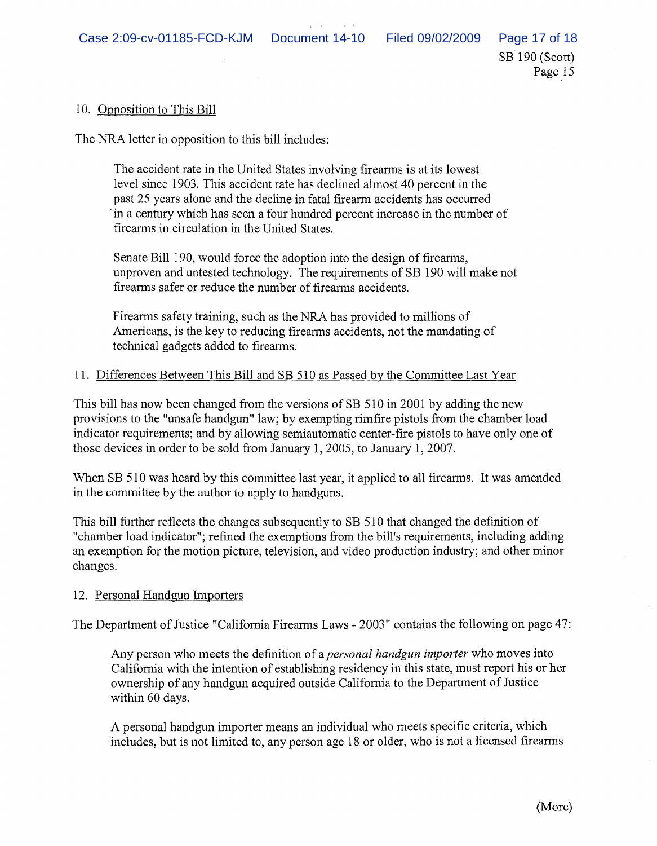SB 190 (Scott)

Page 15

10. Opposition to This Bill

The NRA letter in opposition to this bill includes:

The accident rate in the United States involving firearms is at its lowest level since 1903. This accident rate has declined almost 40 percent in the past 25 years alone and the decline in fatal firearm accidents has occurred .in a century which has seen a four hundred percent increase in the number of firearms in circulation in the United States.

Senate Bill 190, would force the adoption into the design of firearms, unproven and untested technology. The requirements of SB 190 will make not firearms safer or reduce the number of firearms accidents.

Firearms safety training, such as the NRA has provided to millions of Americans, is the key to reducing firearms accidents, not the mandating of technical gadgets added to firearms.

## 11. Differences Between This Bill and SB 510 as Passed by the Committee Last Year

This bill has now been changed from the versions of SB 510 in 2001 by adding the new provisions to the "unsafe handgun" law; by exempting rimfire pistols from the chamber load indicator requirements; and by allowing semiautomatic center-fire pistols to have only one of those devices in order to be sold from January 1, 2005, to January 1,2007.

When SB 510 was heard by this committee last year, it applied to all firearms. It was amended in the committee by the author to apply to handguns.

This bill further reflects the changes subsequently to SB 510 that changed the definition of "chamber load indicator"; refined the exemptions from the bill's requirements, including adding an exemption for the motion picture, television, and video production industry; and other minor changes.

# 12. Personal Handgun Importers

The Department of Justice "California Firearms Laws - 2003" contains the following on page 47:

Any person who meets the definition of a *personal handgun importer* who moves into California with the intention of establishing residency in this state, must report his or her ownership of any handgun acquired outside California to the Department of Justice within 60 days.

A personal handgun importer means an individual who meets specific criteria, which includes, but is not limited to, any person age 18 or older, who is not a licensed firearms